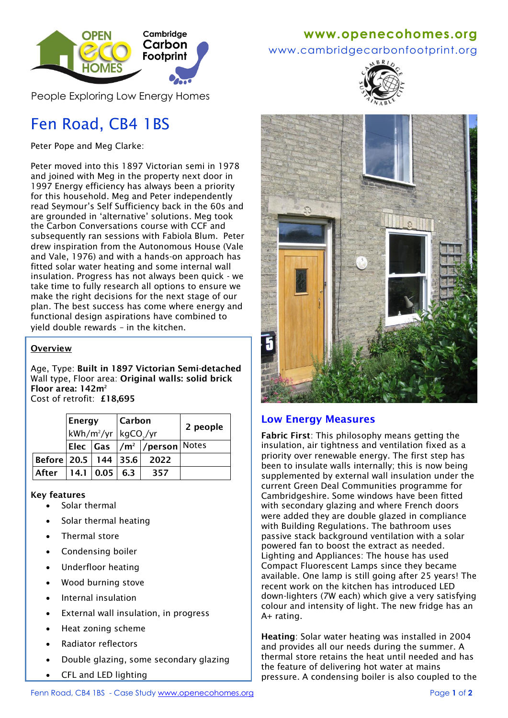

People Exploring Low Energy Homes

# Fen Road, CB4 1BS

Peter Pope and Meg Clarke:

Peter moved into this 1897 Victorian semi in 1978 and joined with Meg in the property next door in 1997 Energy efficiency has always been a priority for this household. Meg and Peter independently read Seymour's Self Sufficiency back in the 60s and are grounded in 'alternative' solutions. Meg took the Carbon Conversations course with CCF and subsequently ran sessions with Fabiola Blum. Peter drew inspiration from the Autonomous House (Vale and Vale, 1976) and with a hands-on approach has fitted solar water heating and some internal wall insulation. Progress has not always been quick - we take time to fully research all options to ensure we make the right decisions for the next stage of our plan. The best success has come where energy and functional design aspirations have combined to yield double rewards – in the kitchen.

#### **Overview**

Age, Type: **Built in 1897 Victorian Semi-detached** Wall type, Floor area: **Original walls: solid brick Floor area: 142m<sup>2</sup>** Cost of retrofit: **£18,695**

|                            | <b>Energy</b>                                |             | <b>Carbon</b> |                                                  | 2 people |
|----------------------------|----------------------------------------------|-------------|---------------|--------------------------------------------------|----------|
|                            | kWh/m <sup>2</sup> /yr kgCO <sub>2</sub> /yr |             |               |                                                  |          |
|                            |                                              |             |               | Elec   Gas   / m <sup>2</sup>   / person   Notes |          |
| Before   20.5   144   35.6 |                                              |             |               | -2022                                            |          |
| After                      |                                              | 14.1   0.05 | 6.3           | 357                                              |          |

#### **Key features**

- Solar thermal
- Solar thermal heating
- Thermal store
- Condensing boiler
- Underfloor heating
- Wood burning stove
- Internal insulation
- External wall insulation, in progress
- Heat zoning scheme
- Radiator reflectors
- Double glazing, some secondary glazing
- CFL and LED lighting

#### **www[.openecohomes.org](http://www.openecohomes.org/)**

www.cambridgecarbonfootprint.org





#### **Low Energy Measures**

**Fabric First**: This philosophy means getting the insulation, air tightness and ventilation fixed as a priority over renewable energy. The first step has been to insulate walls internally; this is now being supplemented by external wall insulation under the current Green Deal Communities programme for Cambridgeshire. Some windows have been fitted with secondary glazing and where French doors were added they are double glazed in compliance with Building Regulations. The bathroom uses passive stack background ventilation with a solar powered fan to boost the extract as needed. Lighting and Appliances: The house has used Compact Fluorescent Lamps since they became available. One lamp is still going after 25 years! The recent work on the kitchen has introduced LED down-lighters (7W each) which give a very satisfying colour and intensity of light. The new fridge has an A+ rating.

**Heating**: Solar water heating was installed in 2004 and provides all our needs during the summer. A thermal store retains the heat until needed and has the feature of delivering hot water at mains pressure. A condensing boiler is also coupled to the